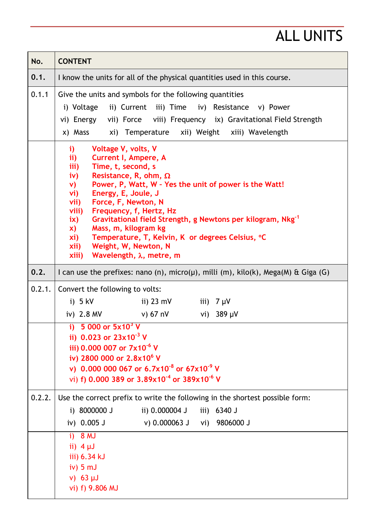## ALL UNITS

| No.    | <b>CONTENT</b>                                                                                                                                                                                                                                                                                                                                                                                                                                                                                                                                                                    |  |  |  |  |
|--------|-----------------------------------------------------------------------------------------------------------------------------------------------------------------------------------------------------------------------------------------------------------------------------------------------------------------------------------------------------------------------------------------------------------------------------------------------------------------------------------------------------------------------------------------------------------------------------------|--|--|--|--|
| 0.1.   | I know the units for all of the physical quantities used in this course.                                                                                                                                                                                                                                                                                                                                                                                                                                                                                                          |  |  |  |  |
| 0.1.1  | Give the units and symbols for the following quantities<br>i) Voltage ii) Current iii) Time iv) Resistance v) Power<br>vi) Energy vii) Force viii) Frequency ix) Gravitational Field Strength<br>xi) Temperature xii) Weight xiii) Wavelength<br>x) Mass                                                                                                                                                                                                                                                                                                                          |  |  |  |  |
|        | i)<br>Voltage V, volts, V<br><b>Current I, Ampere, A</b><br>$\mathbf{ii}$<br>Time, t, second, s<br>iii)<br>Resistance, R, ohm, $\Omega$<br>iv)<br>Power, P, Watt, W - Yes the unit of power is the Watt!<br>V)<br>Energy, E, Joule, J<br>vi)<br>Force, F, Newton, N<br>vii)<br>viii)<br>Frequency, f, Hertz, Hz<br>Gravitational field Strength, g Newtons per kilogram, Nkg <sup>-1</sup><br>$i\mathsf{x}$<br>Mass, m, kilogram kg<br>X)<br>Temperature, T, Kelvin, K or degrees Celsius, °C<br>xi)<br>Weight, W, Newton, N<br>xii)<br>Wavelength, $\lambda$ , metre, m<br>xiii) |  |  |  |  |
| 0.2.   | I can use the prefixes: nano (n), micro( $\mu$ ), milli (m), kilo(k), Mega(M) & Giga (G)                                                                                                                                                                                                                                                                                                                                                                                                                                                                                          |  |  |  |  |
| 0.2.1. | Convert the following to volts:<br>ii) 23 mV<br>$i)$ 5 kV<br>iii) $7 \mu V$<br>iv) $2.8 \text{ MV}$<br>v) 67 nV<br>vi) $389 \mu V$<br>i) 5 000 or $5x10^3$ V                                                                                                                                                                                                                                                                                                                                                                                                                      |  |  |  |  |
|        | ii) 0.023 or $23\times10^{-3}$ V<br>iii) 0.000 007 or 7x10 <sup>-6</sup> V<br>iv) 2800 000 or 2.8x10 <sup>6</sup> V<br>v) 0.000 000 067 or 6.7x10 <sup>-8</sup> or 67x10 <sup>-9</sup> V<br>vi) f) 0.000 389 or 3.89x10 <sup>-4</sup> or 389x10 <sup>-6</sup> V                                                                                                                                                                                                                                                                                                                   |  |  |  |  |
| 0.2.2. | Use the correct prefix to write the following in the shortest possible form:<br>i) 8000000 J<br>ii) 0.000004 J<br>iii) 6340 J<br>iv) 0.005 J<br>v) 0.000063 J vi) 9806000 J                                                                                                                                                                                                                                                                                                                                                                                                       |  |  |  |  |
|        | $i)$ 8 MJ<br>ii) $4 \mu J$<br>iii) 6.34 kJ<br>$iv)$ 5 mJ<br>$v)$ 63 µJ<br>vi) f) 9.806 MJ                                                                                                                                                                                                                                                                                                                                                                                                                                                                                         |  |  |  |  |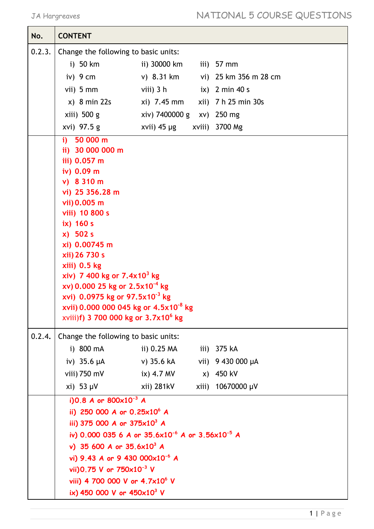| No.    | <b>CONTENT</b>                                                                                                                                                                                                                                                                                                                                                                                                     |                                          |  |                       |  |  |
|--------|--------------------------------------------------------------------------------------------------------------------------------------------------------------------------------------------------------------------------------------------------------------------------------------------------------------------------------------------------------------------------------------------------------------------|------------------------------------------|--|-----------------------|--|--|
| 0.2.3. | Change the following to basic units:                                                                                                                                                                                                                                                                                                                                                                               |                                          |  |                       |  |  |
|        | i) 50 km                                                                                                                                                                                                                                                                                                                                                                                                           | ii) 30000 km                             |  | iii) $57$ mm          |  |  |
|        | iv) $9 \text{ cm}$                                                                                                                                                                                                                                                                                                                                                                                                 | v) 8.31 km                               |  | vi) 25 km 356 m 28 cm |  |  |
|        | vii) $5 \text{ mm}$                                                                                                                                                                                                                                                                                                                                                                                                | viii) $3h$                               |  | $ix)$ 2 min 40 s      |  |  |
|        | $x)$ 8 min 22s                                                                                                                                                                                                                                                                                                                                                                                                     | xi) 7.45 mm                              |  | xii) 7 h 25 min 30s   |  |  |
|        | $xiii)$ 500 g                                                                                                                                                                                                                                                                                                                                                                                                      | xiv) 7400000 g xv) 250 mg                |  |                       |  |  |
|        | xvi) 97.5 g                                                                                                                                                                                                                                                                                                                                                                                                        | xvii) 45 µg                              |  | xviii) 3700 Mg        |  |  |
|        | i) $50000 \text{ m}$<br>ii) 30 000 000 m<br>iii) 0.057 m<br>iv) 0.09 m<br>v) 8310 m<br>vi) 25 356.28 m<br>vii) 0.005 m<br>viii) 10 800 s<br>$ix)$ 160 s<br>$x)$ 502 s<br>xi) 0.00745 m<br>xii) 26 730 s<br>xiii) 0.5 kg<br>xiv) 7 400 kg or $7.4x10^3$ kg<br>xv) 0.000 25 kg or $2.5 \times 10^{-4}$ kg<br>xvi) 0.0975 kg or 97.5x10 $3$ kg<br>xvii) 0.000 000 045 kg or 4.5x10 <sup>-8</sup> kg                   |                                          |  |                       |  |  |
| 0.2.4. | xviii)f) 3 700 000 kg or 3.7x10 <sup>6</sup> kg<br>Change the following to basic units:                                                                                                                                                                                                                                                                                                                            |                                          |  |                       |  |  |
|        | i) 800 mA                                                                                                                                                                                                                                                                                                                                                                                                          | ii) 0.25 MA iii) 375 kA                  |  |                       |  |  |
|        | iv) $35.6 \mu A$                                                                                                                                                                                                                                                                                                                                                                                                   | v) 35.6 kA                               |  | vii) 9 430 000 µA     |  |  |
|        | viii) 750 mV                                                                                                                                                                                                                                                                                                                                                                                                       | ix) $4.7 \text{ MV}$ x) $450 \text{ kV}$ |  |                       |  |  |
|        | $xi)$ 53 $\mu$ V                                                                                                                                                                                                                                                                                                                                                                                                   | xii) 281kV                               |  | xiii) 10670000 µV     |  |  |
|        | i)0.8 A or $800 \times 10^{-3}$ A<br>ii) 250 000 A or $0.25 \times 10^6$ A<br>iii) 375 000 A or $375 \times 10^3$ A<br>iv) 0.000 035 6 A or 35.6x10 <sup>-6</sup> A or 3.56x10 <sup>-5</sup> A<br>v) 35 600 A or $35.6 \times 10^3$ A<br>vi) 9.43 A or 9 430 000x10 <sup>-6</sup> A<br>vii) 0.75 V or $750 \times 10^{-3}$ V<br>viii) 4 700 000 V or 4.7x10 <sup>6</sup> V<br>ix) 450 000 V or $450\times10^{3}$ V |                                          |  |                       |  |  |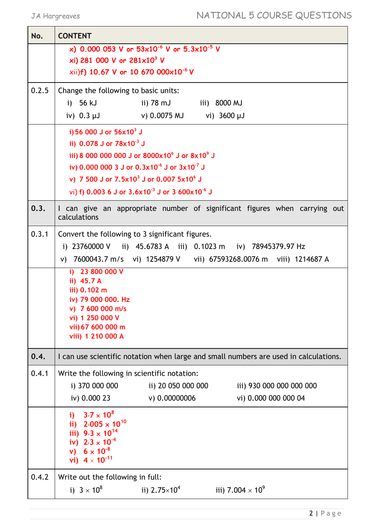| No.   | <b>CONTENT</b>                                                                                                                                                                                                                                                                                                                                   |  |  |  |  |
|-------|--------------------------------------------------------------------------------------------------------------------------------------------------------------------------------------------------------------------------------------------------------------------------------------------------------------------------------------------------|--|--|--|--|
|       | x) 0.000 053 V or 53x10 <sup>-6</sup> V or 5.3x10 <sup>-5</sup> V<br>xi) 281 000 V or $281 \times 10^3$ V<br>xii)f) 10.67 V or 10 670 000x10 <sup>-6</sup> V                                                                                                                                                                                     |  |  |  |  |
| 0.2.5 | Change the following to basic units:<br>i) $56 \text{ kJ}$<br>ii) 78 mJ iii) 8000 MJ<br>iv) 0.3 µJ v) 0.0075 MJ vi) 3600 µJ                                                                                                                                                                                                                      |  |  |  |  |
|       | i) 56 000 J or $56x10^3$ J<br>ii) $0.078$ J or $78\times10^{-3}$ J<br>iii) 8 000 000 000 J or 8000x10 <sup>6</sup> J or 8x10 <sup>9</sup> J<br>iv) 0.000 000 3 J or $0.3x10^{-6}$ J or $3x10^{-7}$ J<br>v) 7 500 J or $7.5x10^3$ J or 0.007 $5x10^6$ J<br>vi) f) 0.003 6 J or 3.6x10 <sup>-3</sup> J or 3 600x10 <sup>-6</sup> J                 |  |  |  |  |
| 0.3.  | I can give an appropriate number of significant figures when carrying out<br>calculations                                                                                                                                                                                                                                                        |  |  |  |  |
| 0.3.1 | Convert the following to 3 significant figures.<br>i) 23760000 V ii) 45.6783 A iii) 0.1023 m iv) 78945379.97 Hz<br>v) 7600043.7 m/s vi) 1254879 V vii) 67593268.0076 m viii) 1214687 A<br>i) 23 800 000 $V$<br>ii) 45.7 A<br>iii) 0.102 m<br>iv) 79 000 000. Hz<br>v) 7 600 000 m/s<br>vi) 1 250 000 V<br>vii) 67 600 000 m<br>viii) 1 210 000 A |  |  |  |  |
| 0.4.  | I can use scientific notation when large and small numbers are used in calculations.                                                                                                                                                                                                                                                             |  |  |  |  |
| 0.4.1 | Write the following in scientific notation:<br>i) 370 000 000<br>ii) 20 050 000 000<br>iii) 930 000 000 000 000<br>iv) 0.000 23<br>v) 0.00000006<br>vi) 0.000 000 000 04                                                                                                                                                                         |  |  |  |  |
|       | $3.7 \times 10^{8}$<br>i)<br>ii) $2.005 \times 10^{10}$<br>iii) $9.3 \times 10^{14}$<br>iv) $2.3 \times 10^{-4}$<br>v) $6 \times 10^{-8}$<br>vi) $4 \times 10^{-11}$                                                                                                                                                                             |  |  |  |  |
| 0.4.2 | Write out the following in full:<br>i) $3 \times 10^8$<br>iii) 7.004 $\times$ 10 <sup>9</sup><br>ii) $2.75 \times 10^4$                                                                                                                                                                                                                          |  |  |  |  |